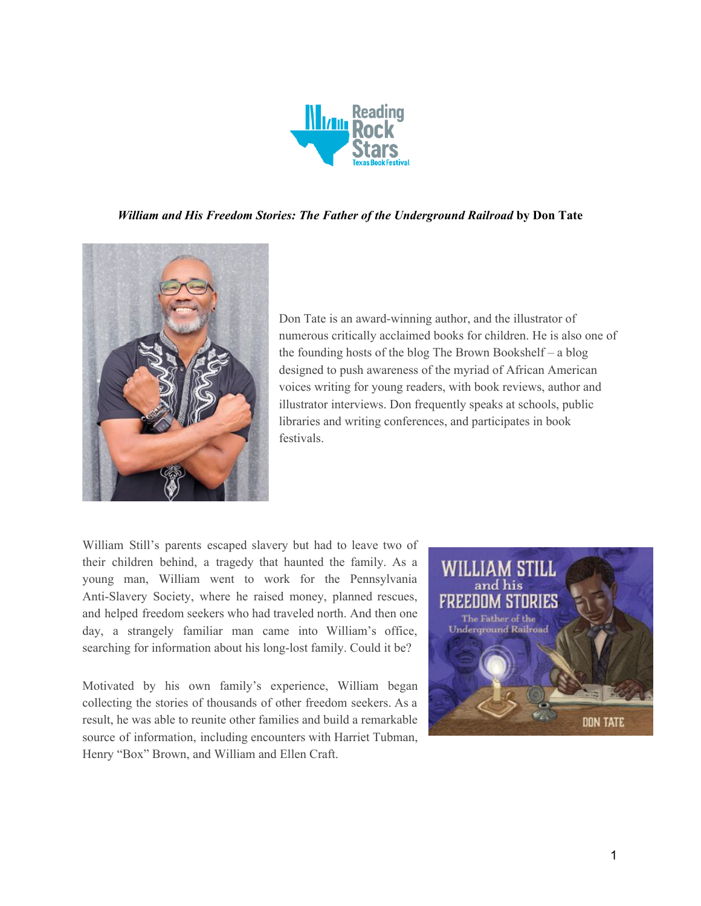

#### *William and His Freedom Stories: The Father of the Underground Railroad* **by Don Tate**



Don Tate is an award-winning author, and the illustrator of numerous critically acclaimed books for children. He is also one of the founding hosts of the blog The Brown Bookshelf – a blog designed to push awareness of the myriad of African American voices writing for young readers, with book reviews, author and illustrator interviews. Don frequently speaks at schools, public libraries and writing conferences, and participates in book festivals.

William Still's parents escaped slavery but had to leave two of their children behind, a tragedy that haunted the family. As a young man, William went to work for the Pennsylvania Anti-Slavery Society, where he raised money, planned rescues, and helped freedom seekers who had traveled north. And then one day, a strangely familiar man came into William's office, searching for information about his long-lost family. Could it be?

Motivated by his own family's experience, William began collecting the stories of thousands of other freedom seekers. As a result, he was able to reunite other families and build a remarkable source of information, including encounters with Harriet Tubman, Henry "Box" Brown, and William and Ellen Craft.

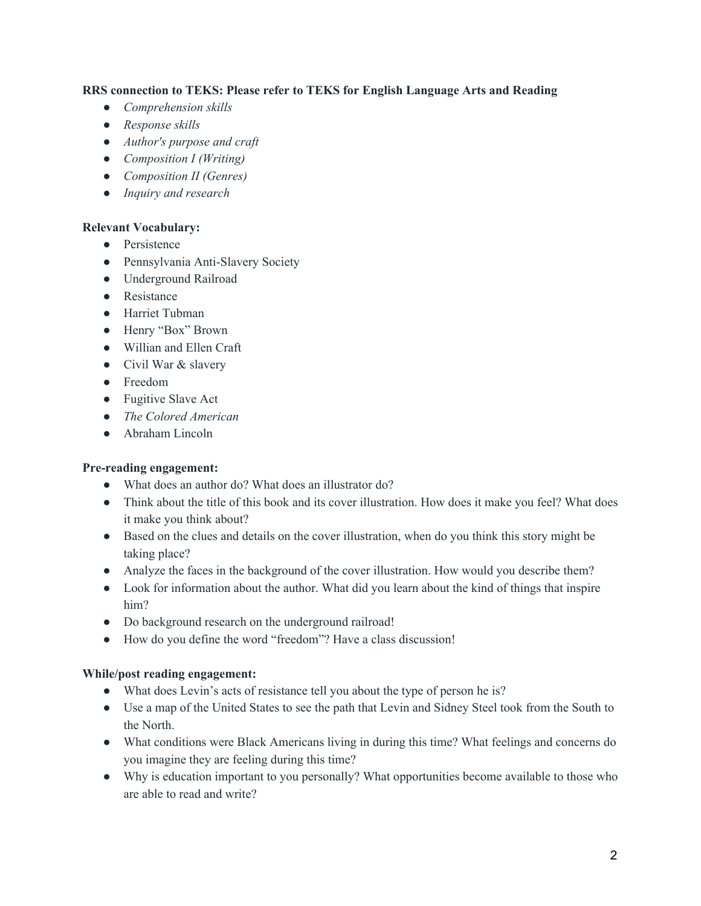## **RRS connection to TEKS: Please refer to TEKS for English Language Arts and Reading**

- *● Comprehension skills*
- *● Response skills*
- *● Author's purpose and craft*
- *● Composition I (Writing)*
- *● Composition II (Genres)*
- *● Inquiry and research*

#### **Relevant Vocabulary:**

- Persistence
- Pennsylvania Anti-Slavery Society
- Underground Railroad
- Resistance
- Harriet Tubman
- Henry "Box" Brown
- Willian and Ellen Craft
- Civil War & slavery
- Freedom
- Fugitive Slave Act
- *● The Colored American*
- Abraham Lincoln

## **Pre-reading engagement:**

- What does an author do? What does an illustrator do?
- Think about the title of this book and its cover illustration. How does it make you feel? What does it make you think about?
- Based on the clues and details on the cover illustration, when do you think this story might be taking place?
- Analyze the faces in the background of the cover illustration. How would you describe them?
- Look for information about the author. What did you learn about the kind of things that inspire him?
- Do background research on the underground railroad!
- How do you define the word "freedom"? Have a class discussion!

## **While/post reading engagement:**

- What does Levin's acts of resistance tell you about the type of person he is?
- Use a map of the United States to see the path that Levin and Sidney Steel took from the South to the North.
- What conditions were Black Americans living in during this time? What feelings and concerns do you imagine they are feeling during this time?
- Why is education important to you personally? What opportunities become available to those who are able to read and write?